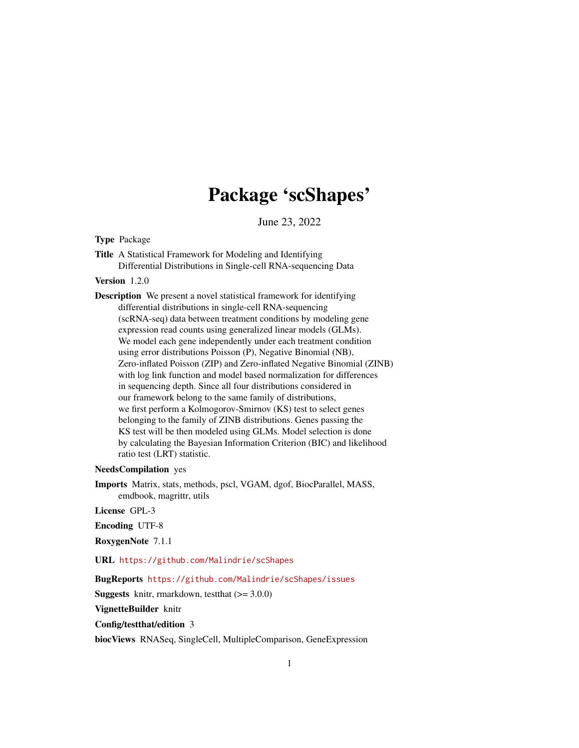## Package 'scShapes'

June 23, 2022

<span id="page-0-0"></span>Type Package

Title A Statistical Framework for Modeling and Identifying Differential Distributions in Single-cell RNA-sequencing Data

Version 1.2.0

Description We present a novel statistical framework for identifying differential distributions in single-cell RNA-sequencing (scRNA-seq) data between treatment conditions by modeling gene expression read counts using generalized linear models (GLMs). We model each gene independently under each treatment condition using error distributions Poisson (P), Negative Binomial (NB), Zero-inflated Poisson (ZIP) and Zero-inflated Negative Binomial (ZINB) with log link function and model based normalization for differences in sequencing depth. Since all four distributions considered in our framework belong to the same family of distributions, we first perform a Kolmogorov-Smirnov (KS) test to select genes belonging to the family of ZINB distributions. Genes passing the KS test will be then modeled using GLMs. Model selection is done by calculating the Bayesian Information Criterion (BIC) and likelihood ratio test (LRT) statistic.

NeedsCompilation yes

Imports Matrix, stats, methods, pscl, VGAM, dgof, BiocParallel, MASS, emdbook, magrittr, utils

License GPL-3

Encoding UTF-8

RoxygenNote 7.1.1

URL <https://github.com/Malindrie/scShapes>

BugReports <https://github.com/Malindrie/scShapes/issues>

**Suggests** knitr, rmarkdown, test that  $(>= 3.0.0)$ 

VignetteBuilder knitr

Config/testthat/edition 3

biocViews RNASeq, SingleCell, MultipleComparison, GeneExpression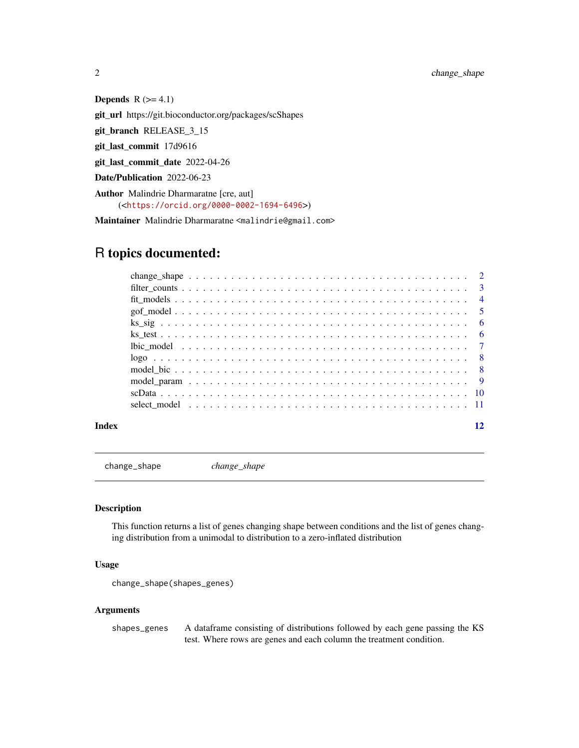<span id="page-1-0"></span>2 change\_shape

Depends  $R$  ( $>= 4.1$ )

git\_url https://git.bioconductor.org/packages/scShapes

git\_branch RELEASE\_3\_15

git\_last\_commit 17d9616

git\_last\_commit\_date 2022-04-26

Date/Publication 2022-06-23

Author Malindrie Dharmaratne [cre, aut] (<<https://orcid.org/0000-0002-1694-6496>>)

Maintainer Malindrie Dharmaratne <malindrie@gmail.com>

### R topics documented:

| Index |  |
|-------|--|

change\_shape *change\_shape*

#### Description

This function returns a list of genes changing shape between conditions and the list of genes changing distribution from a unimodal to distribution to a zero-inflated distribution

#### Usage

```
change_shape(shapes_genes)
```
#### Arguments

shapes\_genes A dataframe consisting of distributions followed by each gene passing the KS test. Where rows are genes and each column the treatment condition.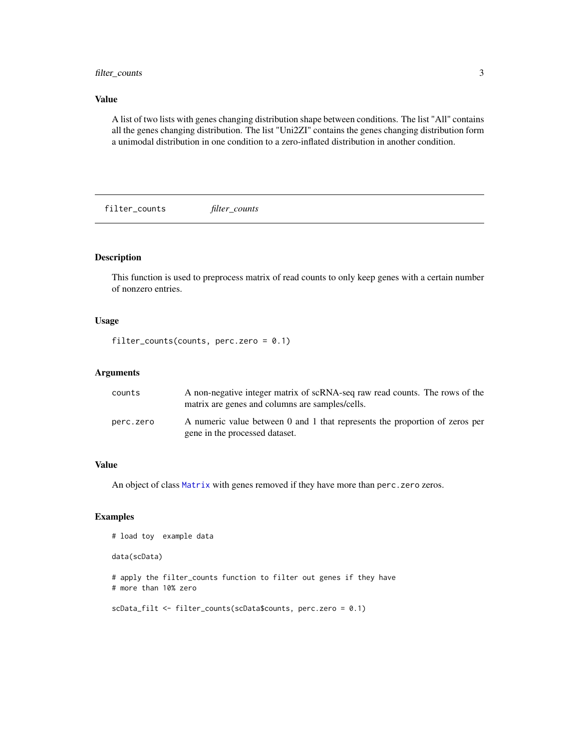#### <span id="page-2-0"></span>filter\_counts 3

#### Value

A list of two lists with genes changing distribution shape between conditions. The list "All" contains all the genes changing distribution. The list "Uni2ZI" contains the genes changing distribution form a unimodal distribution in one condition to a zero-inflated distribution in another condition.

filter\_counts *filter\_counts*

#### Description

This function is used to preprocess matrix of read counts to only keep genes with a certain number of nonzero entries.

#### Usage

filter\_counts(counts, perc.zero =  $0.1$ )

#### Arguments

| counts    | A non-negative integer matrix of scRNA-seq raw read counts. The rows of the<br>matrix are genes and columns are samples/cells. |
|-----------|--------------------------------------------------------------------------------------------------------------------------------|
| perc.zero | A numeric value between 0 and 1 that represents the proportion of zeros per<br>gene in the processed dataset.                  |

#### Value

An object of class [Matrix](#page-0-0) with genes removed if they have more than perc.zero zeros.

#### Examples

```
# load toy example data
```
data(scData)

# apply the filter\_counts function to filter out genes if they have # more than 10% zero

```
scData_filt <- filter_counts(scData$counts, perc.zero = 0.1)
```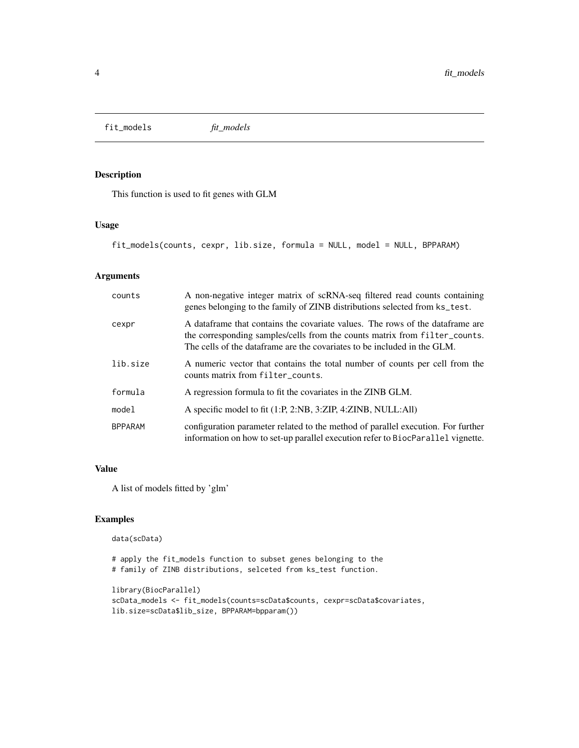<span id="page-3-0"></span>fit\_models *fit\_models*

#### Description

This function is used to fit genes with GLM

#### Usage

```
fit_models(counts, cexpr, lib.size, formula = NULL, model = NULL, BPPARAM)
```
#### Arguments

| counts         | A non-negative integer matrix of scRNA-seq filtered read counts containing<br>genes belonging to the family of ZINB distributions selected from ks_test.                                                                                |
|----------------|-----------------------------------------------------------------------------------------------------------------------------------------------------------------------------------------------------------------------------------------|
| cexpr          | A dataframe that contains the covariate values. The rows of the dataframe are<br>the corresponding samples/cells from the counts matrix from filter_counts.<br>The cells of the dataframe are the covariates to be included in the GLM. |
| lib.size       | A numeric vector that contains the total number of counts per cell from the<br>counts matrix from filter_counts.                                                                                                                        |
| formula        | A regression formula to fit the covariates in the ZINB GLM.                                                                                                                                                                             |
| model          | A specific model to fit (1:P, 2:NB, 3:ZIP, 4:ZINB, NULL:All)                                                                                                                                                                            |
| <b>BPPARAM</b> | configuration parameter related to the method of parallel execution. For further<br>information on how to set-up parallel execution refer to BiocParallel vignette.                                                                     |

#### Value

A list of models fitted by 'glm'

#### Examples

```
data(scData)
```

```
# apply the fit_models function to subset genes belonging to the
# family of ZINB distributions, selceted from ks_test function.
```

```
library(BiocParallel)
scData_models <- fit_models(counts=scData$counts, cexpr=scData$covariates,
lib.size=scData$lib_size, BPPARAM=bpparam())
```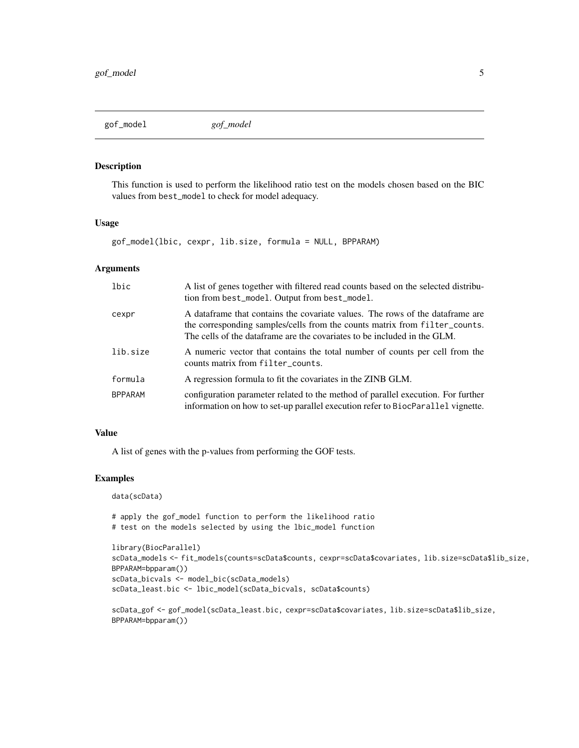<span id="page-4-0"></span>

#### Description

This function is used to perform the likelihood ratio test on the models chosen based on the BIC values from best\_model to check for model adequacy.

#### Usage

gof\_model(lbic, cexpr, lib.size, formula = NULL, BPPARAM)

#### Arguments

| lbic           | A list of genes together with filtered read counts based on the selected distribu-<br>tion from best_model. Output from best_model.                                                                                                     |
|----------------|-----------------------------------------------------------------------------------------------------------------------------------------------------------------------------------------------------------------------------------------|
| cexpr          | A dataframe that contains the covariate values. The rows of the dataframe are<br>the corresponding samples/cells from the counts matrix from filter_counts.<br>The cells of the dataframe are the covariates to be included in the GLM. |
| lib.size       | A numeric vector that contains the total number of counts per cell from the<br>counts matrix from filter_counts.                                                                                                                        |
| formula        | A regression formula to fit the covariates in the ZINB GLM.                                                                                                                                                                             |
| <b>BPPARAM</b> | configuration parameter related to the method of parallel execution. For further<br>information on how to set-up parallel execution refer to BiocParallel vignette.                                                                     |

#### Value

A list of genes with the p-values from performing the GOF tests.

#### Examples

data(scData)

# apply the gof\_model function to perform the likelihood ratio # test on the models selected by using the lbic\_model function

```
library(BiocParallel)
scData_models <- fit_models(counts=scData$counts, cexpr=scData$covariates, lib.size=scData$lib_size,
BPPARAM=bpparam())
scData_bicvals <- model_bic(scData_models)
scData_least.bic <- lbic_model(scData_bicvals, scData$counts)
```

```
scData_gof <- gof_model(scData_least.bic, cexpr=scData$covariates, lib.size=scData$lib_size,
BPPARAM=bpparam())
```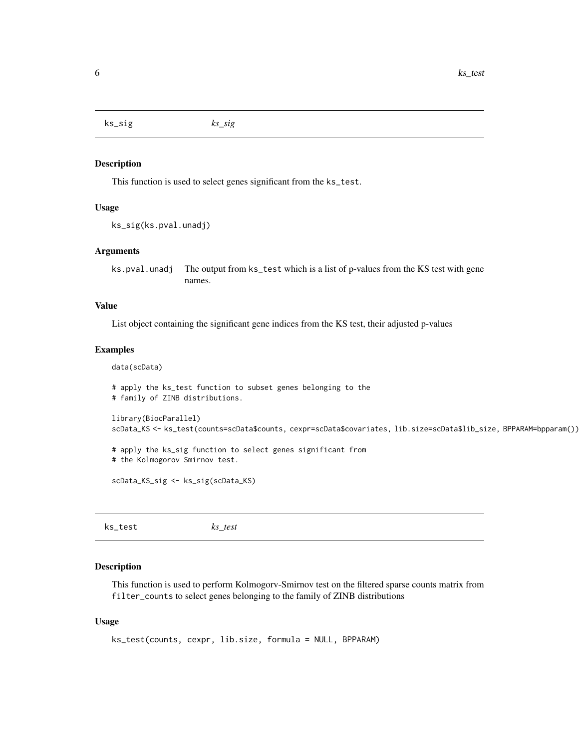<span id="page-5-0"></span>ks\_sig *ks\_sig*

#### Description

This function is used to select genes significant from the ks\_test.

#### Usage

```
ks_sig(ks.pval.unadj)
```
#### Arguments

ks.pval.unadj The output from ks\_test which is a list of p-values from the KS test with gene names.

#### Value

List object containing the significant gene indices from the KS test, their adjusted p-values

#### Examples

```
data(scData)
```

```
# apply the ks_test function to subset genes belonging to the
# family of ZINB distributions.
library(BiocParallel)
scData_KS <- ks_test(counts=scData$counts, cexpr=scData$covariates, lib.size=scData$lib_size, BPPARAM=bpparam())
# apply the ks_sig function to select genes significant from
# the Kolmogorov Smirnov test.
scData_KS_sig <- ks_sig(scData_KS)
```
ks\_test *ks\_test*

#### Description

This function is used to perform Kolmogorv-Smirnov test on the filtered sparse counts matrix from filter\_counts to select genes belonging to the family of ZINB distributions

#### Usage

```
ks_test(counts, cexpr, lib.size, formula = NULL, BPPARAM)
```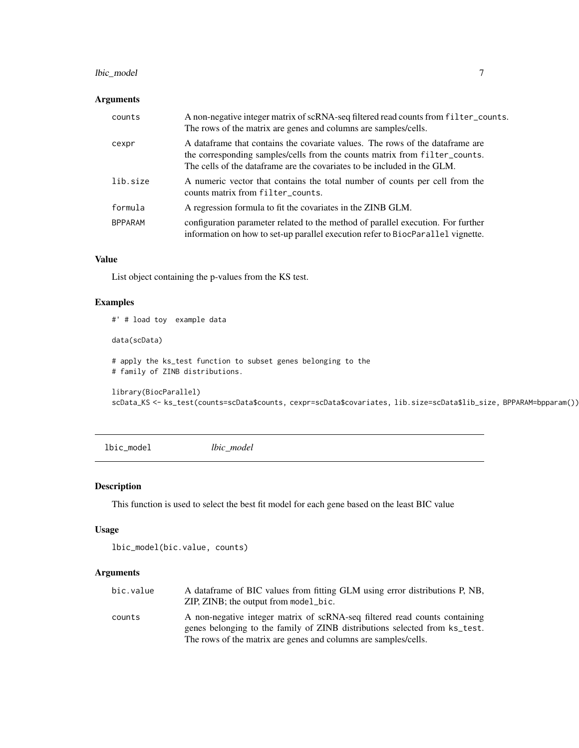#### <span id="page-6-0"></span>lbic\_model 7

#### Arguments

| counts         | A non-negative integer matrix of scRNA-seq filtered read counts from filter_counts.<br>The rows of the matrix are genes and columns are samples/cells.                                                                                  |
|----------------|-----------------------------------------------------------------------------------------------------------------------------------------------------------------------------------------------------------------------------------------|
| cexpr          | A dataframe that contains the covariate values. The rows of the dataframe are<br>the corresponding samples/cells from the counts matrix from filter_counts.<br>The cells of the dataframe are the covariates to be included in the GLM. |
| lib.size       | A numeric vector that contains the total number of counts per cell from the<br>counts matrix from filter_counts.                                                                                                                        |
| formula        | A regression formula to fit the covariates in the ZINB GLM.                                                                                                                                                                             |
| <b>BPPARAM</b> | configuration parameter related to the method of parallel execution. For further<br>information on how to set-up parallel execution refer to BiocParallel vignette.                                                                     |

#### Value

List object containing the p-values from the KS test.

#### Examples

```
#' # load toy example data
data(scData)
# apply the ks_test function to subset genes belonging to the
# family of ZINB distributions.
library(BiocParallel)
scData_KS <- ks_test(counts=scData$counts, cexpr=scData$covariates, lib.size=scData$lib_size, BPPARAM=bpparam())
```
lbic\_model *lbic\_model*

#### Description

This function is used to select the best fit model for each gene based on the least BIC value

#### Usage

```
lbic_model(bic.value, counts)
```
#### Arguments

| bic.value | A dataframe of BIC values from fitting GLM using error distributions P, NB,<br>$ZIP$ , $ZINB$ ; the output from model $\_bic$ .                          |
|-----------|----------------------------------------------------------------------------------------------------------------------------------------------------------|
| counts    | A non-negative integer matrix of scRNA-seq filtered read counts containing<br>genes belonging to the family of ZINB distributions selected from ks_test. |
|           | The rows of the matrix are genes and columns are samples/cells.                                                                                          |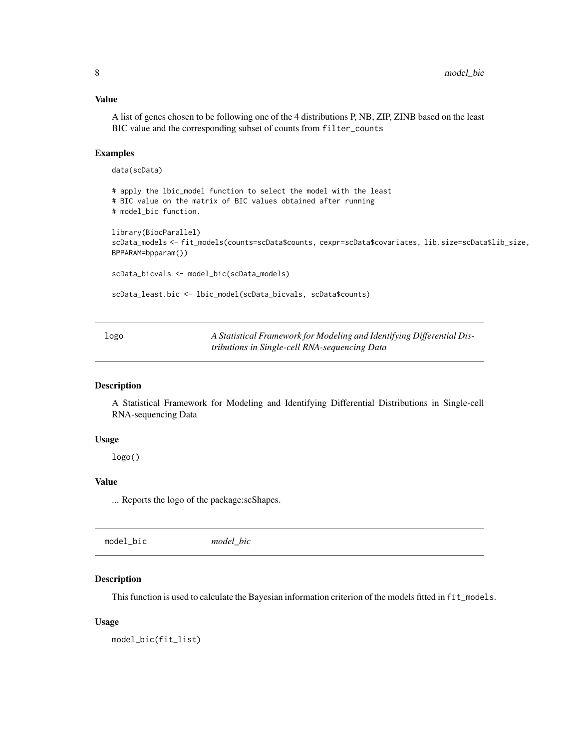#### <span id="page-7-0"></span>Value

A list of genes chosen to be following one of the 4 distributions P, NB, ZIP, ZINB based on the least BIC value and the corresponding subset of counts from filter\_counts

#### Examples

```
data(scData)
```

```
# apply the lbic_model function to select the model with the least
# BIC value on the matrix of BIC values obtained after running
# model_bic function.
library(BiocParallel)
scData_models <- fit_models(counts=scData$counts, cexpr=scData$covariates, lib.size=scData$lib_size,
BPPARAM=bpparam())
scData_bicvals <- model_bic(scData_models)
scData_least.bic <- lbic_model(scData_bicvals, scData$counts)
```
logo *A Statistical Framework for Modeling and Identifying Differential Distributions in Single-cell RNA-sequencing Data*

#### Description

A Statistical Framework for Modeling and Identifying Differential Distributions in Single-cell RNA-sequencing Data

#### Usage

logo()

#### Value

... Reports the logo of the package:scShapes.

| model_bic | model bic |  |  |
|-----------|-----------|--|--|
|-----------|-----------|--|--|

#### Description

This function is used to calculate the Bayesian information criterion of the models fitted in fit\_models.

#### Usage

model\_bic(fit\_list)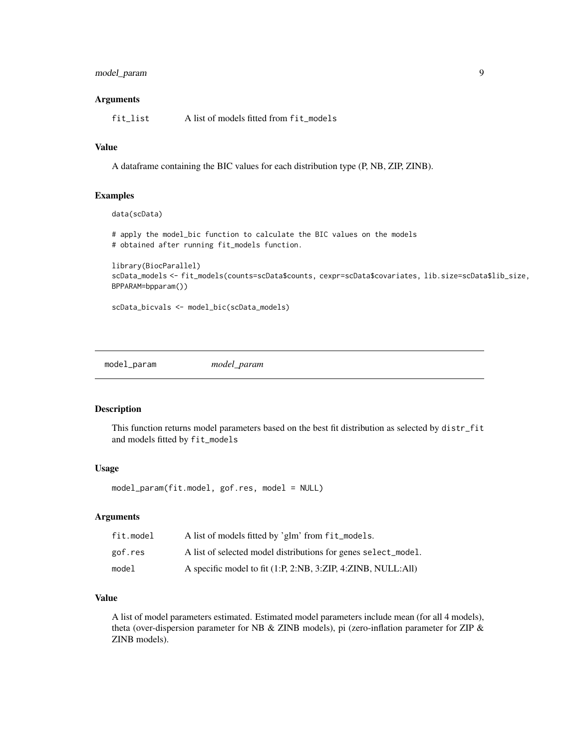#### <span id="page-8-0"></span>model\_param 9

#### Arguments

fit\_list A list of models fitted from fit\_models

#### Value

A dataframe containing the BIC values for each distribution type (P, NB, ZIP, ZINB).

#### Examples

```
data(scData)
```
# apply the model\_bic function to calculate the BIC values on the models # obtained after running fit\_models function.

```
library(BiocParallel)
scData_models <- fit_models(counts=scData$counts, cexpr=scData$covariates, lib.size=scData$lib_size,
BPPARAM=bpparam())
```
scData\_bicvals <- model\_bic(scData\_models)

model\_param *model\_param*

#### Description

This function returns model parameters based on the best fit distribution as selected by distr\_fit and models fitted by fit\_models

#### Usage

model\_param(fit.model, gof.res, model = NULL)

#### Arguments

| fit.model | A list of models fitted by 'glm' from fit_models.              |
|-----------|----------------------------------------------------------------|
| gof.res   | A list of selected model distributions for genes select_model. |
| model     | A specific model to fit (1:P, 2:NB, 3:ZIP, 4:ZINB, NULL:All)   |

#### Value

A list of model parameters estimated. Estimated model parameters include mean (for all 4 models), theta (over-dispersion parameter for NB & ZINB models), pi (zero-inflation parameter for ZIP & ZINB models).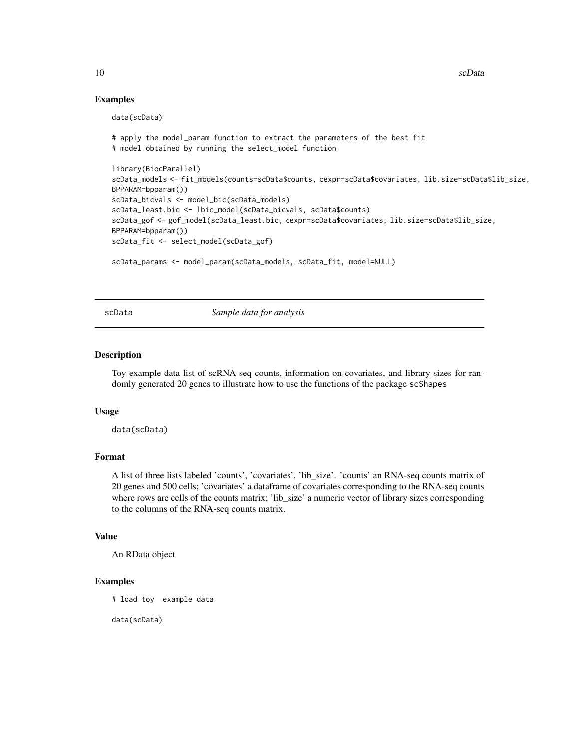10 scData

#### Examples

data(scData)

```
# apply the model_param function to extract the parameters of the best fit
# model obtained by running the select_model function
library(BiocParallel)
scData_models <- fit_models(counts=scData$counts, cexpr=scData$covariates, lib.size=scData$lib_size,
BPPARAM=bpparam())
scData_bicvals <- model_bic(scData_models)
scData_least.bic <- lbic_model(scData_bicvals, scData$counts)
scData_gof <- gof_model(scData_least.bic, cexpr=scData$covariates, lib.size=scData$lib_size,
BPPARAM=bpparam())
scData_fit <- select_model(scData_gof)
scData_params <- model_param(scData_models, scData_fit, model=NULL)
```
scData *Sample data for analysis*

#### **Description**

Toy example data list of scRNA-seq counts, information on covariates, and library sizes for randomly generated 20 genes to illustrate how to use the functions of the package scShapes

#### Usage

data(scData)

#### Format

A list of three lists labeled 'counts', 'covariates', 'lib\_size'. 'counts' an RNA-seq counts matrix of 20 genes and 500 cells; 'covariates' a dataframe of covariates corresponding to the RNA-seq counts where rows are cells of the counts matrix; 'lib\_size' a numeric vector of library sizes corresponding to the columns of the RNA-seq counts matrix.

#### Value

An RData object

#### Examples

# load toy example data

data(scData)

<span id="page-9-0"></span>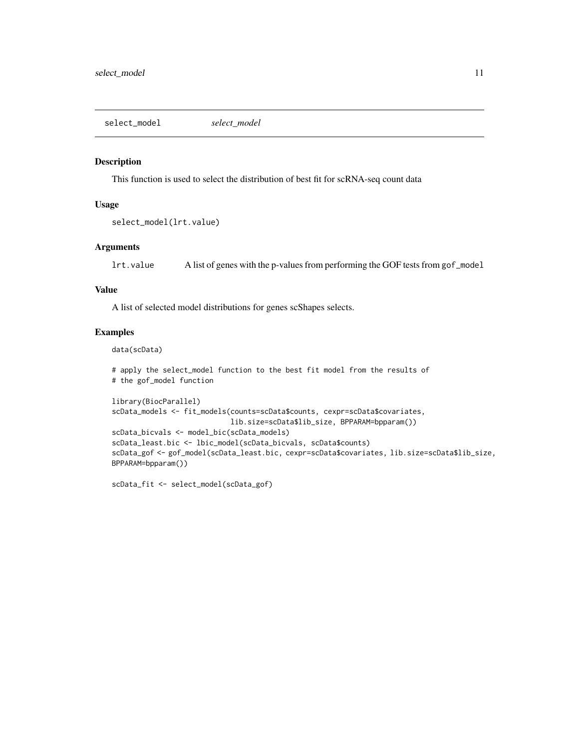<span id="page-10-0"></span>select\_model *select\_model*

#### Description

This function is used to select the distribution of best fit for scRNA-seq count data

#### Usage

```
select_model(lrt.value)
```
#### Arguments

lrt.value A list of genes with the p-values from performing the GOF tests from gof\_model

#### Value

A list of selected model distributions for genes scShapes selects.

#### Examples

data(scData)

```
# apply the select_model function to the best fit model from the results of
# the gof_model function
```

```
library(BiocParallel)
scData_models <- fit_models(counts=scData$counts, cexpr=scData$covariates,
                            lib.size=scData$lib_size, BPPARAM=bpparam())
scData_bicvals <- model_bic(scData_models)
scData_least.bic <- lbic_model(scData_bicvals, scData$counts)
scData_gof <- gof_model(scData_least.bic, cexpr=scData$covariates, lib.size=scData$lib_size,
BPPARAM=bpparam())
```
scData\_fit <- select\_model(scData\_gof)